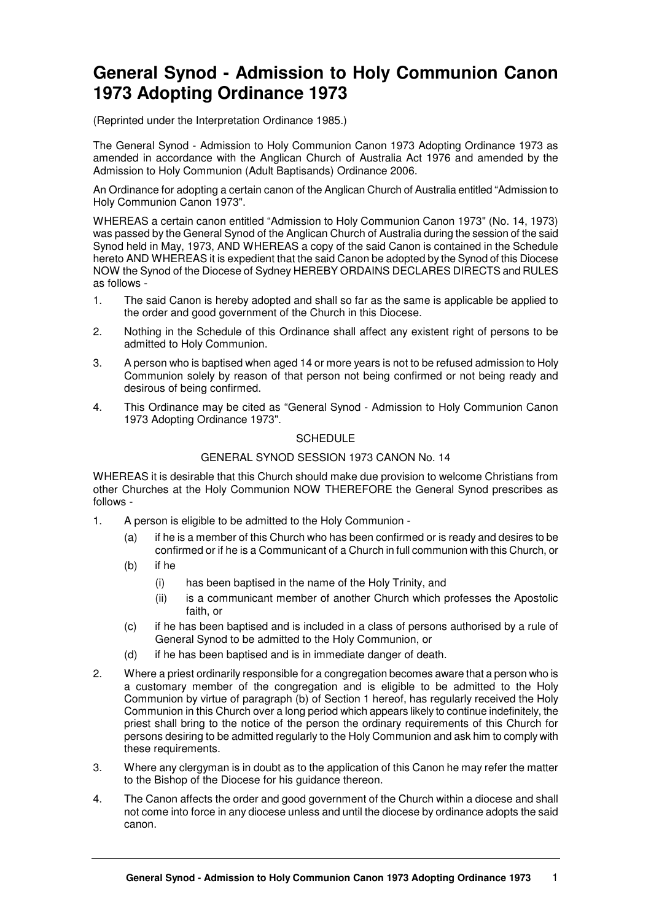## **General Synod - Admission to Holy Communion Canon 1973 Adopting Ordinance 1973**

(Reprinted under the Interpretation Ordinance 1985.)

The General Synod - Admission to Holy Communion Canon 1973 Adopting Ordinance 1973 as amended in accordance with the Anglican Church of Australia Act 1976 and amended by the Admission to Holy Communion (Adult Baptisands) Ordinance 2006.

An Ordinance for adopting a certain canon of the Anglican Church of Australia entitled "Admission to Holy Communion Canon 1973".

WHEREAS a certain canon entitled "Admission to Holy Communion Canon 1973" (No. 14, 1973) was passed by the General Synod of the Anglican Church of Australia during the session of the said Synod held in May, 1973, AND WHEREAS a copy of the said Canon is contained in the Schedule hereto AND WHEREAS it is expedient that the said Canon be adopted by the Synod of this Diocese NOW the Synod of the Diocese of Sydney HEREBY ORDAINS DECLARES DIRECTS and RULES as follows -

- 1. The said Canon is hereby adopted and shall so far as the same is applicable be applied to the order and good government of the Church in this Diocese.
- 2. Nothing in the Schedule of this Ordinance shall affect any existent right of persons to be admitted to Holy Communion.
- 3. A person who is baptised when aged 14 or more years is not to be refused admission to Holy Communion solely by reason of that person not being confirmed or not being ready and desirous of being confirmed.
- 4. This Ordinance may be cited as "General Synod Admission to Holy Communion Canon 1973 Adopting Ordinance 1973".

## **SCHEDULE**

## GENERAL SYNOD SESSION 1973 CANON No. 14

WHEREAS it is desirable that this Church should make due provision to welcome Christians from other Churches at the Holy Communion NOW THEREFORE the General Synod prescribes as follows -

- 1. A person is eligible to be admitted to the Holy Communion
	- (a) if he is a member of this Church who has been confirmed or is ready and desires to be confirmed or if he is a Communicant of a Church in full communion with this Church, or
	- (b) if he
		- (i) has been baptised in the name of the Holy Trinity, and
		- (ii) is a communicant member of another Church which professes the Apostolic faith, or
	- (c) if he has been baptised and is included in a class of persons authorised by a rule of General Synod to be admitted to the Holy Communion, or
	- (d) if he has been baptised and is in immediate danger of death.
- 2. Where a priest ordinarily responsible for a congregation becomes aware that a person who is a customary member of the congregation and is eligible to be admitted to the Holy Communion by virtue of paragraph (b) of Section 1 hereof, has regularly received the Holy Communion in this Church over a long period which appears likely to continue indefinitely, the priest shall bring to the notice of the person the ordinary requirements of this Church for persons desiring to be admitted regularly to the Holy Communion and ask him to comply with these requirements.
- 3. Where any clergyman is in doubt as to the application of this Canon he may refer the matter to the Bishop of the Diocese for his guidance thereon.
- 4. The Canon affects the order and good government of the Church within a diocese and shall not come into force in any diocese unless and until the diocese by ordinance adopts the said canon.